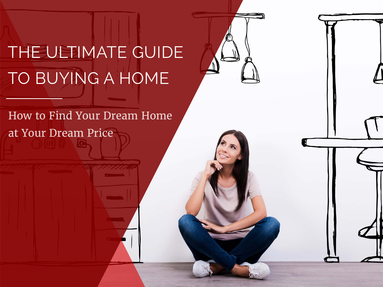# THE ULTIMATE GUIDE TO BUYING A HOME

How to Find Your Dream Home at Your Dream Price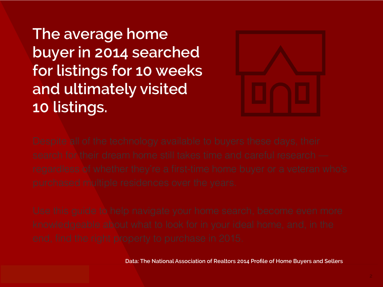**The average home buyer in 2014 searched for listings for 10 weeks and ultimately visited 10 listings.** 



**Data: The National Association of Realtors 2014 Profile of Home Buyers and Sellers**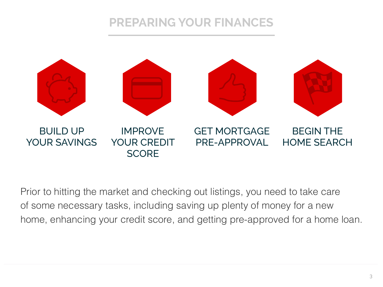## **PREPARING YOUR FINANCES**



Prior to hitting the market and checking out listings, you need to take care of some necessary tasks, including saving up plenty of money for a new home, enhancing your credit score, and getting pre-approved for a home loan.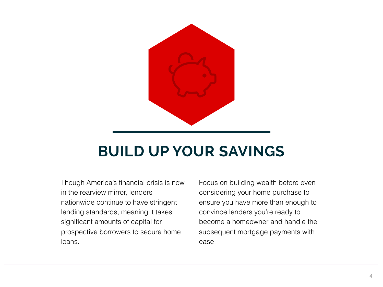

## **BUILD UP YOUR SAVINGS**

Though America's financial crisis is now in the rearview mirror, lenders nationwide continue to have stringent lending standards, meaning it takes significant amounts of capital for prospective borrowers to secure home loans.

Focus on building wealth before even considering your home purchase to ensure you have more than enough to convince lenders you're ready to become a homeowner and handle the subsequent mortgage payments with ease.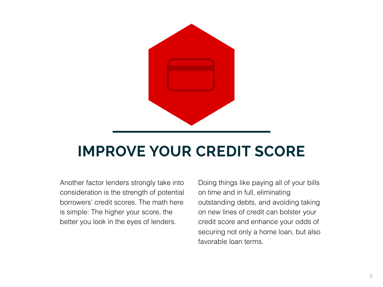

## **IMPROVE YOUR CREDIT SCORE**

Another factor lenders strongly take into consideration is the strength of potential borrowers' credit scores. The math here is simple: The higher your score, the better you look in the eyes of lenders.

Doing things like paying all of your bills on time and in full, eliminating outstanding debts, and avoiding taking on new lines of credit can bolster your credit score and enhance your odds of securing not only a home loan, but also favorable loan terms.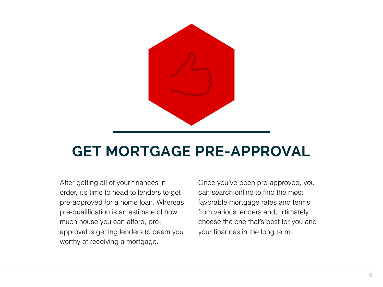

## **GET MORTGAGE PRE-APPROVAL**

After getting all of your finances in order, it's time to head to lenders to get pre-approved for a home loan. Whereas pre-qualification is an estimate of how much house you can afford, preapproval is getting lenders to deem you worthy of receiving a mortgage.

Once you've been pre-approved, you can search online to find the most favorable mortgage rates and terms from various lenders and, ultimately, choose the one that's best for you and your finances in the long term.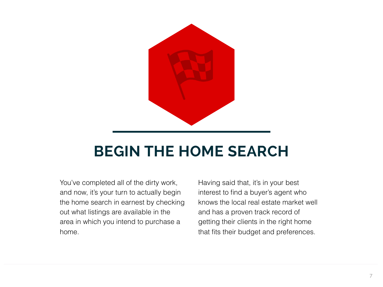

## **BEGIN THE HOME SEARCH**

You've completed all of the dirty work, and now, it's your turn to actually begin the home search in earnest by checking out what listings are available in the area in which you intend to purchase a home.

Having said that, it's in your best interest to find a buyer's agent who knows the local real estate market well and has a proven track record of getting their clients in the right home that fits their budget and preferences.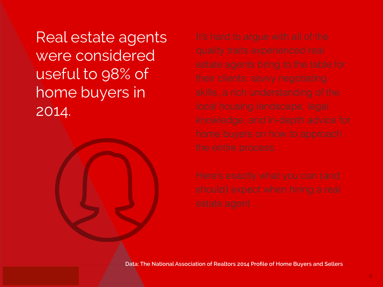Real estate agents were considered useful to 98% of home buyers in 2014.



**Data: The National Association of Realtors 2014 Profile of Home Buyers and Sellers**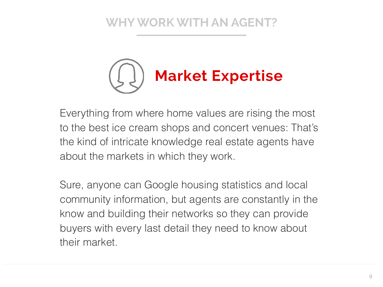

Everything from where home values are rising the most to the best ice cream shops and concert venues: That's the kind of intricate knowledge real estate agents have about the markets in which they work.

Sure, anyone can Google housing statistics and local community information, but agents are constantly in the know and building their networks so they can provide buyers with every last detail they need to know about their market.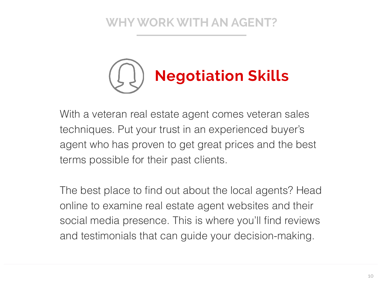

With a veteran real estate agent comes veteran sales techniques. Put your trust in an experienced buyer's agent who has proven to get great prices and the best terms possible for their past clients.

The best place to find out about the local agents? Head online to examine real estate agent websites and their social media presence. This is where you'll find reviews and testimonials that can guide your decision-making.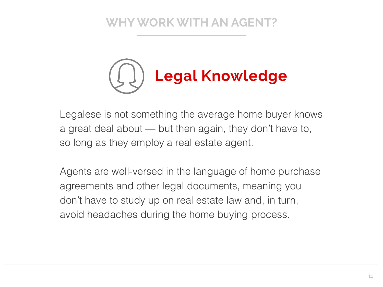

Legalese is not something the average home buyer knows a great deal about — but then again, they don't have to, so long as they employ a real estate agent.

Agents are well-versed in the language of home purchase agreements and other legal documents, meaning you don't have to study up on real estate law and, in turn, avoid headaches during the home buying process.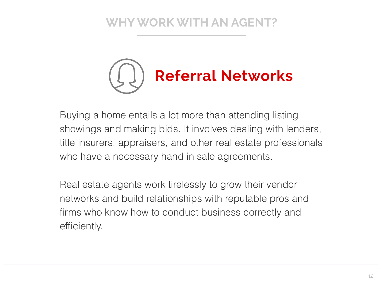

Buying a home entails a lot more than attending listing showings and making bids. It involves dealing with lenders, title insurers, appraisers, and other real estate professionals who have a necessary hand in sale agreements.

Real estate agents work tirelessly to grow their vendor networks and build relationships with reputable pros and firms who know how to conduct business correctly and efficiently.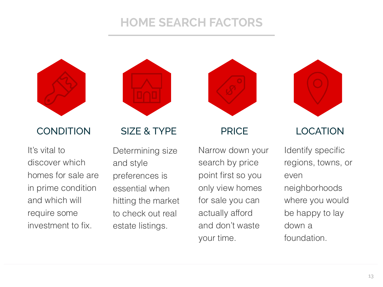#### **HOME SEARCH FACTORS**





It's vital to discover which homes for sale are in prime condition and which will require some investment to fix.

#### CONDITION SIZE & TYPE PRICE LOCATION

Determining size and style preferences is essential when hitting the market to check out real estate listings.



Narrow down your search by price point first so you only view homes for sale you can actually afford and don't waste your time.



Identify specific regions, towns, or even neighborhoods where you would be happy to lay down a foundation.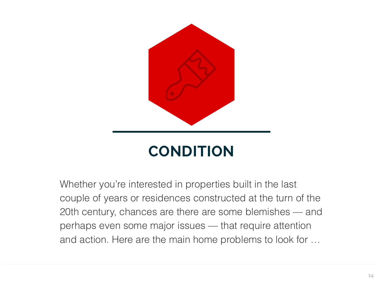

Whether you're interested in properties built in the last couple of years or residences constructed at the turn of the 20th century, chances are there are some blemishes — and perhaps even some major issues — that require attention and action. Here are the main home problems to look for …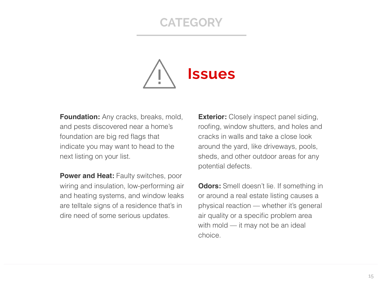#### **CATEGORY**



**Foundation:** Any cracks, breaks, mold, and pests discovered near a home's foundation are big red flags that indicate you may want to head to the next listing on your list.

**Power and Heat: Faulty switches, poor** wiring and insulation, low-performing air and heating systems, and window leaks are telltale signs of a residence that's in dire need of some serious updates.

**Exterior:** Closely inspect panel siding, roofing, window shutters, and holes and cracks in walls and take a close look around the yard, like driveways, pools, sheds, and other outdoor areas for any potential defects.

**Odors:** Smell doesn't lie. If something in or around a real estate listing causes a physical reaction — whether it's general air quality or a specific problem area with mold — it may not be an ideal choice.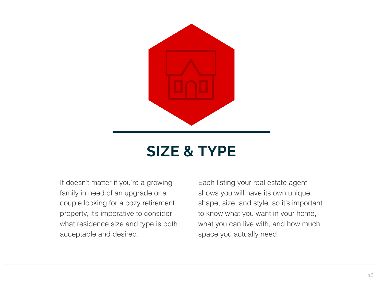

## **SIZE & TYPE**

It doesn't matter if you're a growing family in need of an upgrade or a couple looking for a cozy retirement property, it's imperative to consider what residence size and type is both acceptable and desired.

Each listing your real estate agent shows you will have its own unique shape, size, and style, so it's important to know what you want in your home, what you can live with, and how much space you actually need.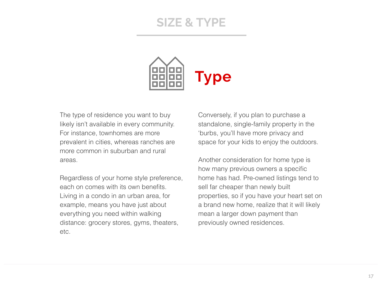#### **SIZE & TYPE**



The type of residence you want to buy likely isn't available in every community. For instance, townhomes are more prevalent in cities, whereas ranches are more common in suburban and rural areas.

Regardless of your home style preference, each on comes with its own benefits. Living in a condo in an urban area, for example, means you have just about everything you need within walking distance: grocery stores, gyms, theaters, etc.

Conversely, if you plan to purchase a standalone, single-family property in the 'burbs, you'll have more privacy and space for your kids to enjoy the outdoors.

Another consideration for home type is how many previous owners a specific home has had. Pre-owned listings tend to sell far cheaper than newly built properties, so if you have your heart set on a brand new home, realize that it will likely mean a larger down payment than previously owned residences.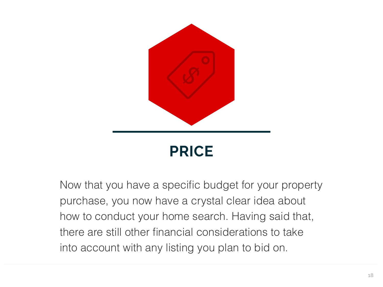

Now that you have a specific budget for your property purchase, you now have a crystal clear idea about how to conduct your home search. Having said that, there are still other financial considerations to take into account with any listing you plan to bid on.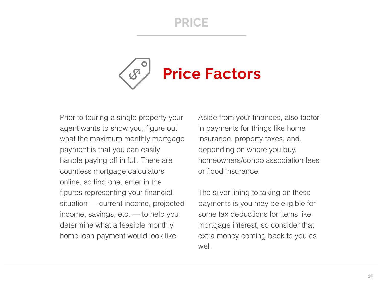#### **PRICE**



Prior to touring a single property your agent wants to show you, figure out what the maximum monthly mortgage payment is that you can easily handle paying off in full. There are countless mortgage calculators online, so find one, enter in the figures representing your financial situation — current income, projected income, savings, etc. — to help you determine what a feasible monthly home loan payment would look like.

Aside from your finances, also factor in payments for things like home insurance, property taxes, and, depending on where you buy, homeowners/condo association fees or flood insurance.

The silver lining to taking on these payments is you may be eligible for some tax deductions for items like mortgage interest, so consider that extra money coming back to you as well.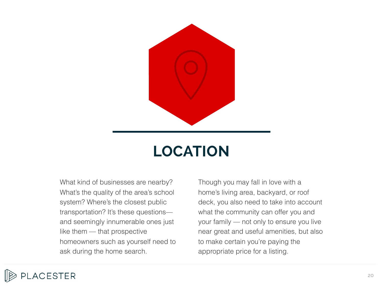

## **LOCATION**

What kind of businesses are nearby? What's the quality of the area's school system? Where's the closest public transportation? It's these questions and seemingly innumerable ones just like them — that prospective homeowners such as yourself need to ask during the home search.

Though you may fall in love with a home's living area, backyard, or roof deck, you also need to take into account what the community can offer you and your family — not only to ensure you live near great and useful amenities, but also to make certain you're paying the appropriate price for a listing.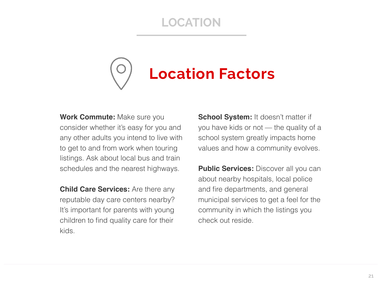## **LOCATION**



**Work Commute:** Make sure you consider whether it's easy for you and any other adults you intend to live with to get to and from work when touring listings. Ask about local bus and train schedules and the nearest highways.

**Child Care Services:** Are there any reputable day care centers nearby? It's important for parents with young children to find quality care for their kids.

**School System:** It doesn't matter if you have kids or not — the quality of a school system greatly impacts home values and how a community evolves.

**Public Services:** Discover all you can about nearby hospitals, local police and fire departments, and general municipal services to get a feel for the community in which the listings you check out reside.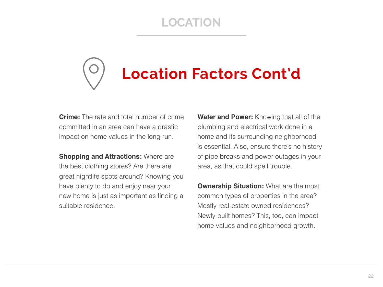## **LOCATION**

# **Location Factors Cont'd**

**Crime:** The rate and total number of crime committed in an area can have a drastic impact on home values in the long run.

**Shopping and Attractions: Where are** the best clothing stores? Are there are great nightlife spots around? Knowing you have plenty to do and enjoy near your new home is just as important as finding a suitable residence.

**Water and Power:** Knowing that all of the plumbing and electrical work done in a home and its surrounding neighborhood is essential. Also, ensure there's no history of pipe breaks and power outages in your area, as that could spell trouble.

**Ownership Situation: What are the most** common types of properties in the area? Mostly real-estate owned residences? Newly built homes? This, too, can impact home values and neighborhood growth.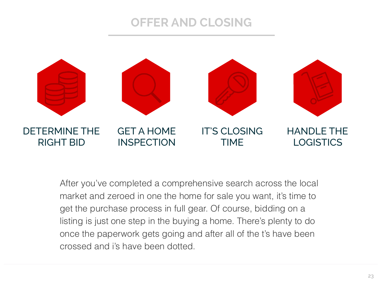#### **OFFER AND CLOSING**



After you've completed a comprehensive search across the local market and zeroed in one the home for sale you want, it's time to get the purchase process in full gear. Of course, bidding on a listing is just one step in the buying a home. There's plenty to do once the paperwork gets going and after all of the t's have been crossed and i's have been dotted.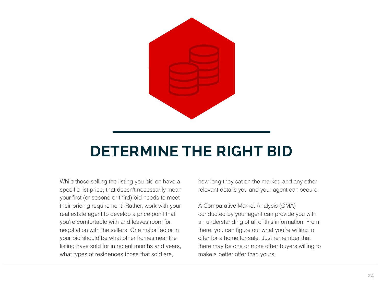

## **DETERMINE THE RIGHT BID**

While those selling the listing you bid on have a specific list price, that doesn't necessarily mean your first (or second or third) bid needs to meet their pricing requirement. Rather, work with your real estate agent to develop a price point that you're comfortable with and leaves room for negotiation with the sellers. One major factor in your bid should be what other homes near the listing have sold for in recent months and years, what types of residences those that sold are,

how long they sat on the market, and any other relevant details you and your agent can secure.

A Comparative Market Analysis (CMA) conducted by your agent can provide you with an understanding of all of this information. From there, you can figure out what you're willing to offer for a home for sale. Just remember that there may be one or more other buyers willing to make a better offer than yours.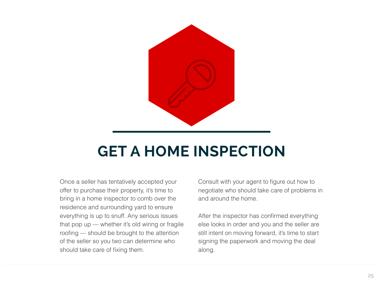

## **GET A HOME INSPECTION**

Once a seller has tentatively accepted your offer to purchase their property, it's time to bring in a home inspector to comb over the residence and surrounding yard to ensure everything is up to snuff. Any serious issues that pop up — whether it's old wiring or fragile roofing — should be brought to the attention of the seller so you two can determine who should take care of fixing them.

Consult with your agent to figure out how to negotiate who should take care of problems in and around the home.

After the inspector has confirmed everything else looks in order and you and the seller are still intent on moving forward, it's time to start signing the paperwork and moving the deal along.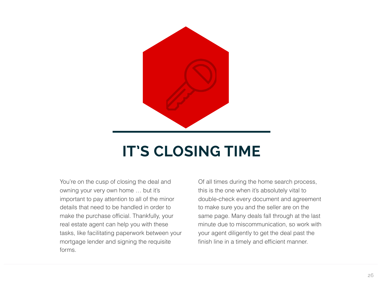

## **IT'S CLOSING TIME**

You're on the cusp of closing the deal and owning your very own home … but it's important to pay attention to all of the minor details that need to be handled in order to make the purchase official. Thankfully, your real estate agent can help you with these tasks, like facilitating paperwork between your mortgage lender and signing the requisite forms.

Of all times during the home search process, this is the one when it's absolutely vital to double-check every document and agreement to make sure you and the seller are on the same page. Many deals fall through at the last minute due to miscommunication, so work with your agent diligently to get the deal past the finish line in a timely and efficient manner.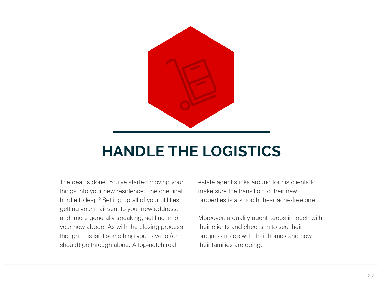

## **HANDLE THE LOGISTICS**

The deal is done. You've started moving your things into your new residence. The one final hurdle to leap? Setting up all of your utilities, getting your mail sent to your new address, and, more generally speaking, settling in to your new abode. As with the closing process, though, this isn't something you have to (or should) go through alone. A top-notch real

estate agent sticks around for his clients to make sure the transition to their new properties is a smooth, headache-free one.

Moreover, a quality agent keeps in touch with their clients and checks in to see their progress made with their homes and how their families are doing.